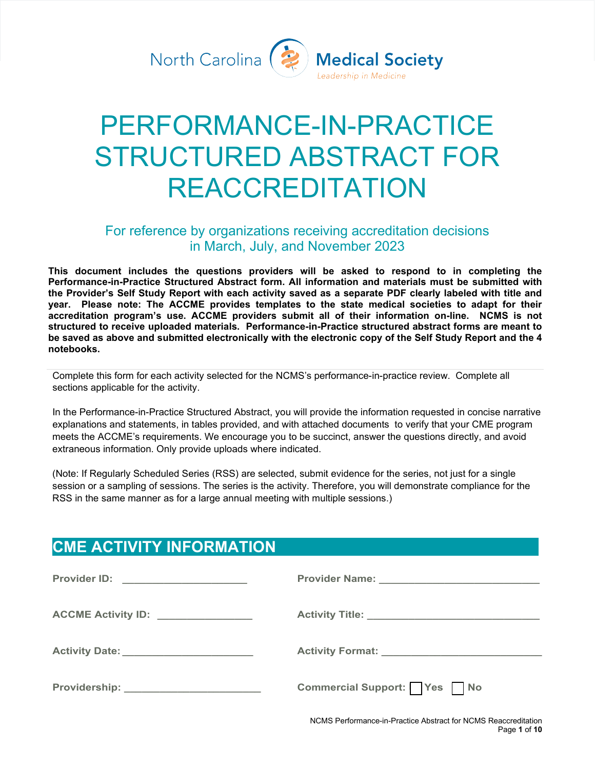North Carolina (2



# PERFORMANCE-IN-PRACTICE STRUCTURED ABSTRACT FOR REACCREDITATION

## For reference by organizations receiving accreditation decisions in March, July, and November 2023

**This document includes the questions providers will be asked to respond to in completing the Performance-in-Practice Structured Abstract form. All information and materials must be submitted with the Provider's Self Study Report with each activity saved as a separate PDF clearly labeled with title and year. Please note: The ACCME provides templates to the state medical societies to adapt for their accreditation program's use. ACCME providers submit all of their information on-line. NCMS is not structured to receive uploaded materials. Performance-in-Practice structured abstract forms are meant to be saved as above and submitted electronically with the electronic copy of the Self Study Report and the 4 notebooks.**

Complete this form for each activity selected for the NCMS's performance-in-practice review. Complete all sections applicable for the activity.

In the Performance-in-Practice Structured Abstract, you will provide the information requested in concise narrative explanations and statements, in tables provided, and with attached documents to verify that your CME program meets the ACCME's requirements. We encourage you to be succinct, answer the questions directly, and avoid extraneous information. Only provide uploads where indicated.

(Note: If Regularly Scheduled Series (RSS) are selected, submit evidence for the series, not just for a single session or a sampling of sessions. The series is the activity. Therefore, you will demonstrate compliance for the RSS in the same manner as for a large annual meeting with multiple sessions.)

## **CME ACTIVITY INFORMATION**

| Provider ID: _______________________     |                                                                |
|------------------------------------------|----------------------------------------------------------------|
| ACCME Activity ID: _______________       |                                                                |
| Activity Date: _________________________ |                                                                |
| Providership: ________________________   | Commercial Support: Yes No                                     |
|                                          | NCMS Performance-in-Practice Abstract for NCMS Reaccreditation |

Page **1** of **10**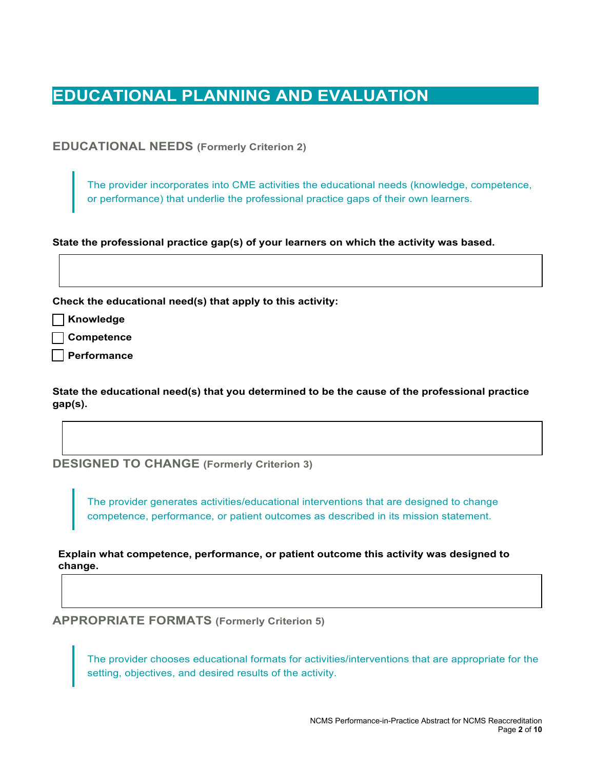# **EDUCATIONAL PLANNING AND EVALUATION**

**EDUCATIONAL NEEDS (Formerly Criterion 2)**

The provider incorporates into CME activities the educational needs (knowledge, competence, or performance) that underlie the professional practice gaps of their own learners.

**State the professional practice gap(s) of your learners on which the activity was based.** 

**Check the educational need(s) that apply to this activity:**

**Knowledge**

**Competence**

**Performance**

**State the educational need(s) that you determined to be the cause of the professional practice gap(s).**

**DESIGNED TO CHANGE (Formerly Criterion 3)**

The provider generates activities/educational interventions that are designed to change competence, performance, or patient outcomes as described in its mission statement.

**Explain what competence, performance, or patient outcome this activity was designed to change.**

**APPROPRIATE FORMATS (Formerly Criterion 5)**

The provider chooses educational formats for activities/interventions that are appropriate for the setting, objectives, and desired results of the activity.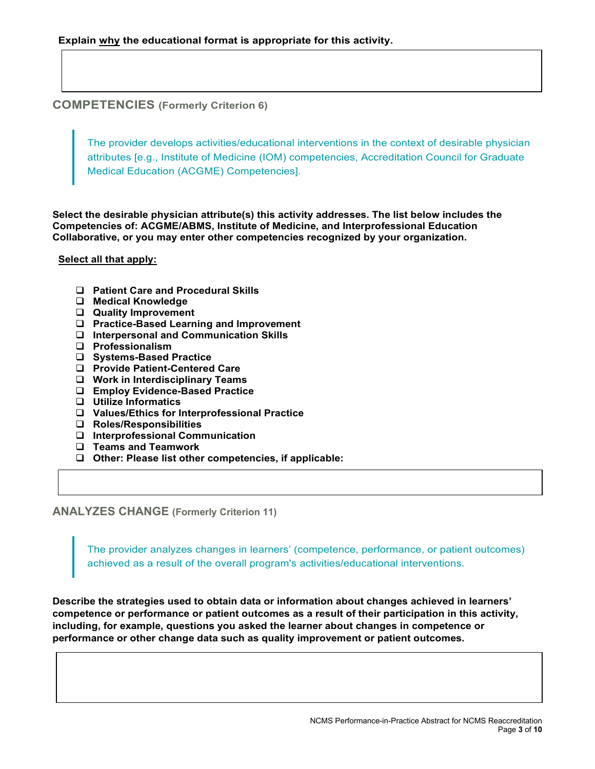**COMPETENCIES (Formerly Criterion 6)**

The provider develops activities/educational interventions in the context of desirable physician attributes [e.g., Institute of Medicine (IOM) competencies, Accreditation Council for Graduate Medical Education (ACGME) Competencies].

**Select the desirable physician attribute(s) this activity addresses. The list below includes the Competencies of: ACGME/ABMS, Institute of Medicine, and Interprofessional Education Collaborative, or you may enter other competencies recognized by your organization.**

#### **Select all that apply:**

- **Patient Care and Procedural Skills**
- **Medical Knowledge**
- **Quality Improvement**
- **Practice-Based Learning and Improvement**
- **Interpersonal and Communication Skills**
- **Professionalism**
- **Systems-Based Practice**
- **Provide Patient-Centered Care**
- **Work in Interdisciplinary Teams**
- **Employ Evidence-Based Practice**
- **Utilize Informatics**
- **Values/Ethics for Interprofessional Practice**
- **Roles/Responsibilities**
- **Interprofessional Communication**
- **Teams and Teamwork**
- **Other: Please list other competencies, if applicable:**

**ANALYZES CHANGE (Formerly Criterion 11)**

The provider analyzes changes in learners' (competence, performance, or patient outcomes) achieved as a result of the overall program's activities/educational interventions.

**Describe the strategies used to obtain data or information about changes achieved in learners' competence or performance or patient outcomes as a result of their participation in this activity, including, for example, questions you asked the learner about changes in competence or performance or other change data such as quality improvement or patient outcomes.**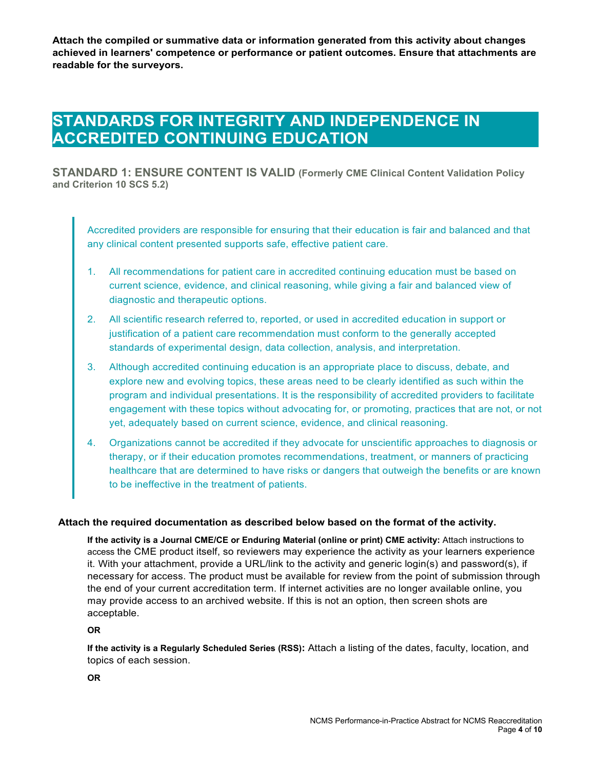**Attach the compiled or summative data or information generated from this activity about changes achieved in learners' competence or performance or patient outcomes. Ensure that attachments are readable for the surveyors.**

# **STANDARDS FOR INTEGRITY AND INDEPENDENCE IN ACCREDITED CONTINUING EDUCATION**

**STANDARD 1: ENSURE CONTENT IS VALID (Formerly CME Clinical Content Validation Policy and Criterion 10 SCS 5.2)**

Accredited providers are responsible for ensuring that their education is fair and balanced and that any clinical content presented supports safe, effective patient care.

- 1. All recommendations for patient care in accredited continuing education must be based on current science, evidence, and clinical reasoning, while giving a fair and balanced view of diagnostic and therapeutic options.
- 2. All scientific research referred to, reported, or used in accredited education in support or justification of a patient care recommendation must conform to the generally accepted standards of experimental design, data collection, analysis, and interpretation.
- 3. Although accredited continuing education is an appropriate place to discuss, debate, and explore new and evolving topics, these areas need to be clearly identified as such within the program and individual presentations. It is the responsibility of accredited providers to facilitate engagement with these topics without advocating for, or promoting, practices that are not, or not yet, adequately based on current science, evidence, and clinical reasoning.
- 4. Organizations cannot be accredited if they advocate for unscientific approaches to diagnosis or therapy, or if their education promotes recommendations, treatment, or manners of practicing healthcare that are determined to have risks or dangers that outweigh the benefits or are known to be ineffective in the treatment of patients.

#### **Attach the required documentation as described below based on the format of the activity.**

**If the activity is a Journal CME/CE or Enduring Material (online or print) CME activity:** Attach instructions to access the CME product itself, so reviewers may experience the activity as your learners experience it. With your attachment, provide a URL/link to the activity and generic login(s) and password(s), if necessary for access. The product must be available for review from the point of submission through the end of your current accreditation term. If internet activities are no longer available online, you may provide access to an archived website. If this is not an option, then screen shots are acceptable.

#### **OR**

**If the activity is a Regularly Scheduled Series (RSS):** Attach a listing of the dates, faculty, location, and topics of each session.

**OR**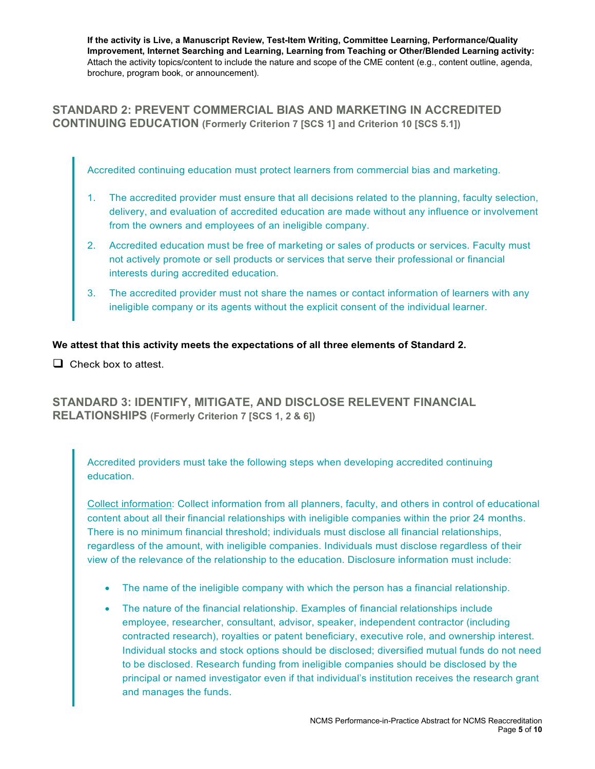**If the activity is Live, a Manuscript Review, Test-Item Writing, Committee Learning, Performance/Quality Improvement, Internet Searching and Learning, Learning from Teaching or Other/Blended Learning activity:** Attach the activity topics/content to include the nature and scope of the CME content (e.g., content outline, agenda, brochure, program book, or announcement).

### **STANDARD 2: PREVENT COMMERCIAL BIAS AND MARKETING IN ACCREDITED CONTINUING EDUCATION (Formerly Criterion 7 [SCS 1] and Criterion 10 [SCS 5.1])**

Accredited continuing education must protect learners from commercial bias and marketing.

- 1. The accredited provider must ensure that all decisions related to the planning, faculty selection, delivery, and evaluation of accredited education are made without any influence or involvement from the owners and employees of an ineligible company.
- 2. Accredited education must be free of marketing or sales of products or services. Faculty must not actively promote or sell products or services that serve their professional or financial interests during accredited education.
- 3. The accredited provider must not share the names or contact information of learners with any ineligible company or its agents without the explicit consent of the individual learner.

#### **We attest that this activity meets the expectations of all three elements of Standard 2.**

 $\Box$  Check box to attest.

**STANDARD 3: IDENTIFY, MITIGATE, AND DISCLOSE RELEVENT FINANCIAL RELATIONSHIPS (Formerly Criterion 7 [SCS 1, 2 & 6])**

Accredited providers must take the following steps when developing accredited continuing education.

Collect information: Collect information from all planners, faculty, and others in control of educational content about all their financial relationships with ineligible companies within the prior 24 months. There is no minimum financial threshold; individuals must disclose all financial relationships, regardless of the amount, with ineligible companies. Individuals must disclose regardless of their view of the relevance of the relationship to the education. Disclosure information must include:

- The name of the ineligible company with which the person has a financial relationship.
- The nature of the financial relationship. Examples of financial relationships include employee, researcher, consultant, advisor, speaker, independent contractor (including contracted research), royalties or patent beneficiary, executive role, and ownership interest. Individual stocks and stock options should be disclosed; diversified mutual funds do not need to be disclosed. Research funding from ineligible companies should be disclosed by the principal or named investigator even if that individual's institution receives the research grant and manages the funds.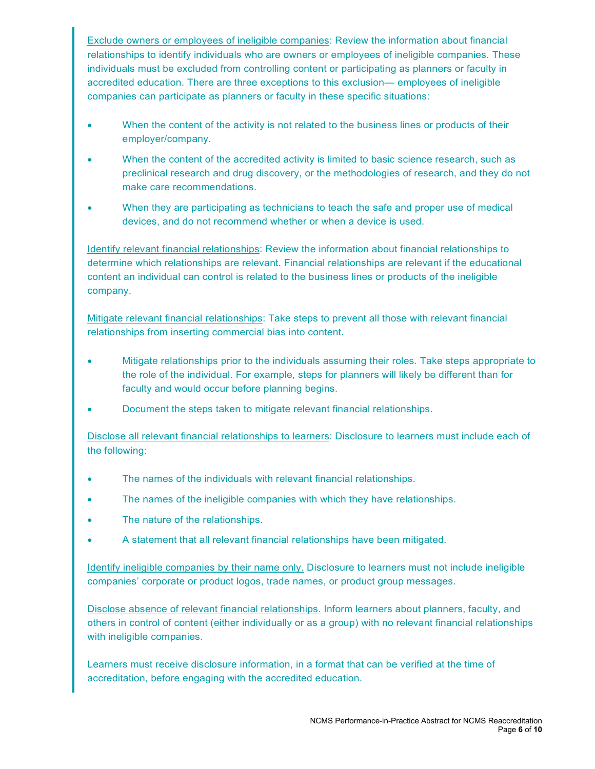Exclude owners or employees of ineligible companies: Review the information about financial relationships to identify individuals who are owners or employees of ineligible companies. These individuals must be excluded from controlling content or participating as planners or faculty in accredited education. There are three exceptions to this exclusion— employees of ineligible companies can participate as planners or faculty in these specific situations:

- When the content of the activity is not related to the business lines or products of their employer/company.
- When the content of the accredited activity is limited to basic science research, such as preclinical research and drug discovery, or the methodologies of research, and they do not make care recommendations.
- When they are participating as technicians to teach the safe and proper use of medical devices, and do not recommend whether or when a device is used.

Identify relevant financial relationships: Review the information about financial relationships to determine which relationships are relevant. Financial relationships are relevant if the educational content an individual can control is related to the business lines or products of the ineligible company.

Mitigate relevant financial relationships: Take steps to prevent all those with relevant financial relationships from inserting commercial bias into content.

- Mitigate relationships prior to the individuals assuming their roles. Take steps appropriate to the role of the individual. For example, steps for planners will likely be different than for faculty and would occur before planning begins.
- Document the steps taken to mitigate relevant financial relationships.

Disclose all relevant financial relationships to learners: Disclosure to learners must include each of the following:

- The names of the individuals with relevant financial relationships.
- The names of the ineligible companies with which they have relationships.
- The nature of the relationships.
- A statement that all relevant financial relationships have been mitigated.

Identify ineligible companies by their name only. Disclosure to learners must not include ineligible companies' corporate or product logos, trade names, or product group messages.

Disclose absence of relevant financial relationships. Inform learners about planners, faculty, and others in control of content (either individually or as a group) with no relevant financial relationships with ineligible companies.

Learners must receive disclosure information, in a format that can be verified at the time of accreditation, before engaging with the accredited education.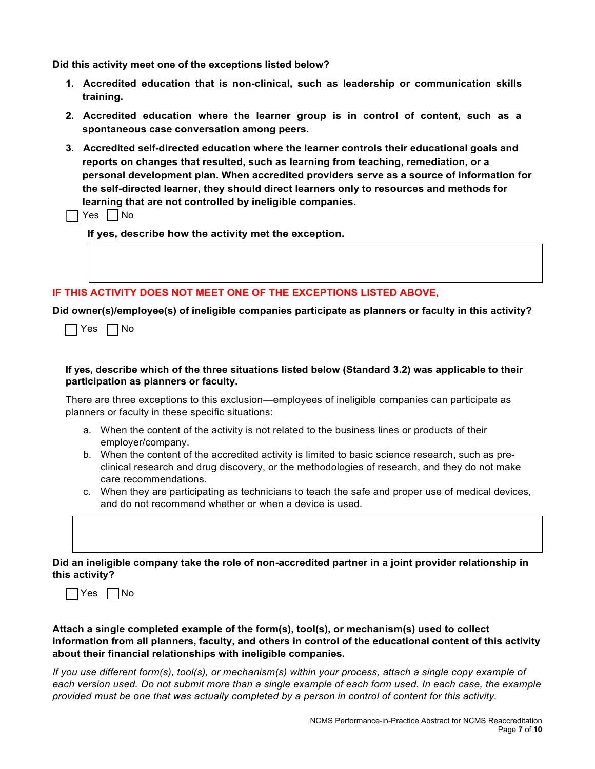**Did this activity meet one of the exceptions listed below?**

- **1. Accredited education that is non-clinical, such as leadership or communication skills training.**
- **2. Accredited education where the learner group is in control of content, such as a spontaneous case conversation among peers.**
- **3. Accredited self-directed education where the learner controls their educational goals and reports on changes that resulted, such as learning from teaching, remediation, or a personal development plan. When accredited providers serve as a source of information for the self-directed learner, they should direct learners only to resources and methods for learning that are not controlled by ineligible companies.**
- $\Box$  Yes  $\Box$  No

**If yes, describe how the activity met the exception.** 

#### **IF THIS ACTIVITY DOES NOT MEET ONE OF THE EXCEPTIONS LISTED ABOVE,**

**Did owner(s)/employee(s) of ineligible companies participate as planners or faculty in this activity?** 

#### **If yes, describe which of the three situations listed below (Standard 3.2) was applicable to their participation as planners or faculty.**

There are three exceptions to this exclusion—employees of ineligible companies can participate as planners or faculty in these specific situations:

- a. When the content of the activity is not related to the business lines or products of their employer/company.
- b. When the content of the accredited activity is limited to basic science research, such as preclinical research and drug discovery, or the methodologies of research, and they do not make care recommendations.
- c. When they are participating as technicians to teach the safe and proper use of medical devices, and do not recommend whether or when a device is used.

#### **Did an ineligible company take the role of non-accredited partner in a joint provider relationship in this activity?**



#### **Attach a single completed example of the form(s), tool(s), or mechanism(s) used to collect information from all planners, faculty, and others in control of the educational content of this activity about their financial relationships with ineligible companies.**

*If you use different form(s), tool(s), or mechanism(s) within your process, attach a single copy example of each version used. Do not submit more than a single example of each form used. In each case, the example provided must be one that was actually completed by a person in control of content for this activity.*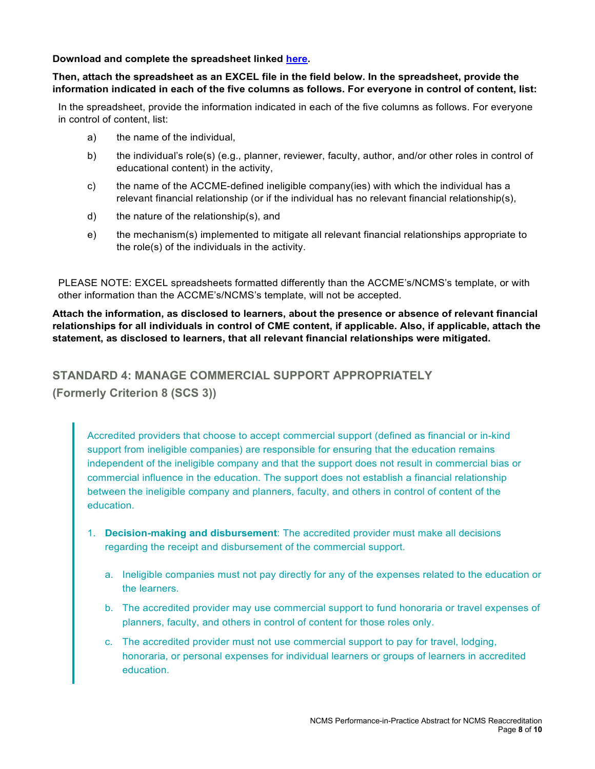#### **Download and complete the spreadsheet linked [here.](https://accme.org/publications/excel-spreadsheet-for-documenting-individuals-control-content-performance-practice)**

#### **Then, attach the spreadsheet as an EXCEL file in the field below. In the spreadsheet, provide the information indicated in each of the five columns as follows. For everyone in control of content, list:**

In the spreadsheet, provide the information indicated in each of the five columns as follows. For everyone in control of content, list:

- a) the name of the individual,
- b) the individual's role(s) (e.g., planner, reviewer, faculty, author, and/or other roles in control of educational content) in the activity,
- c) the name of the ACCME-defined ineligible company(ies) with which the individual has a relevant financial relationship (or if the individual has no relevant financial relationship(s),
- d) the nature of the relationship(s), and
- e) the mechanism(s) implemented to mitigate all relevant financial relationships appropriate to the role(s) of the individuals in the activity.

PLEASE NOTE: EXCEL spreadsheets formatted differently than the ACCME's/NCMS's template, or with other information than the ACCME's/NCMS's template, will not be accepted.

**Attach the information, as disclosed to learners, about the presence or absence of relevant financial relationships for all individuals in control of CME content, if applicable. Also, if applicable, attach the statement, as disclosed to learners, that all relevant financial relationships were mitigated.**

## **STANDARD 4: MANAGE COMMERCIAL SUPPORT APPROPRIATELY (Formerly Criterion 8 (SCS 3))**

Accredited providers that choose to accept commercial support (defined as financial or in-kind support from ineligible companies) are responsible for ensuring that the education remains independent of the ineligible company and that the support does not result in commercial bias or commercial influence in the education. The support does not establish a financial relationship between the ineligible company and planners, faculty, and others in control of content of the education.

- 1. **Decision-making and disbursement**: The accredited provider must make all decisions regarding the receipt and disbursement of the commercial support.
	- a. Ineligible companies must not pay directly for any of the expenses related to the education or the learners.
	- b. The accredited provider may use commercial support to fund honoraria or travel expenses of planners, faculty, and others in control of content for those roles only.
	- c. The accredited provider must not use commercial support to pay for travel, lodging, honoraria, or personal expenses for individual learners or groups of learners in accredited education.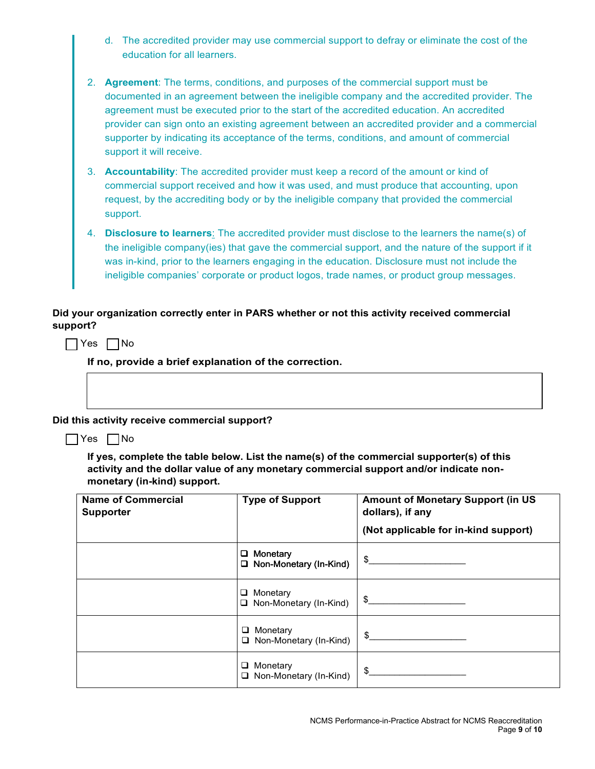| d. The accredited provider may use commercial support to defray or eliminate the cost of the |
|----------------------------------------------------------------------------------------------|
| education for all learners.                                                                  |

| 2. Agreement: The terms, conditions, and purposes of the commercial support must be          |
|----------------------------------------------------------------------------------------------|
| documented in an agreement between the ineligible company and the accredited provider. The   |
| agreement must be executed prior to the start of the accredited education. An accredited     |
| provider can sign onto an existing agreement between an accredited provider and a commercial |
| supporter by indicating its acceptance of the terms, conditions, and amount of commercial    |
| support it will receive.                                                                     |

| 3. <b>Accountability</b> : The accredited provider must keep a record of the amount or kind of |  |  |
|------------------------------------------------------------------------------------------------|--|--|
| commercial support received and how it was used, and must produce that accounting, upon        |  |  |
| request, by the accrediting body or by the ineligible company that provided the commercial     |  |  |
| support.                                                                                       |  |  |

| 4 | <b>Disclosure to learners:</b> The accredited provider must disclose to the learners the name(s) of |  |  |
|---|-----------------------------------------------------------------------------------------------------|--|--|
|   | the ineligible company(ies) that gave the commercial support, and the nature of the support if it   |  |  |
|   | was in-kind, prior to the learners engaging in the education. Disclosure must not include the       |  |  |
|   | ineligible companies' corporate or product logos, trade names, or product group messages.           |  |  |

#### **Did your organization correctly enter in PARS whether or not this activity received commercial support?**

 $\Box$  Yes  $\Box$  No

**If no, provide a brief explanation of the correction.**

**Did this activity receive commercial support?** 

#### $\Box$  Yes  $\Box$  No

**If yes, complete the table below. List the name(s) of the commercial supporter(s) of this activity and the dollar value of any monetary commercial support and/or indicate nonmonetary (in-kind) support.** 

| <b>Name of Commercial</b><br><b>Supporter</b> | <b>Type of Support</b>                              | <b>Amount of Monetary Support (in US</b><br>dollars), if any<br>(Not applicable for in-kind support) |
|-----------------------------------------------|-----------------------------------------------------|------------------------------------------------------------------------------------------------------|
|                                               | $\Box$ Monetary<br>□ Non-Monetary (In-Kind)         |                                                                                                      |
|                                               | $\Box$ Monetary<br>$\Box$ Non-Monetary (In-Kind)    | \$                                                                                                   |
|                                               | Monetary<br>$\Box$<br>$\Box$ Non-Monetary (In-Kind) | \$                                                                                                   |
|                                               | $\Box$ Monetary<br>□ Non-Monetary (In-Kind)         | $\mathbb{S}$                                                                                         |